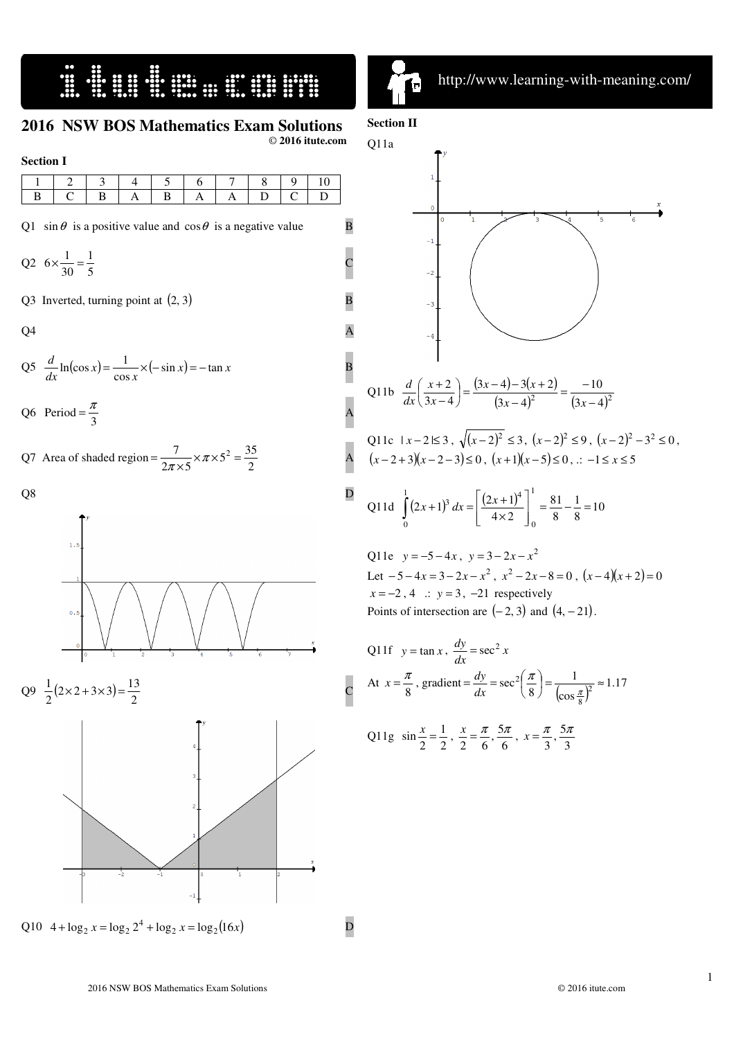# 

#### **2016 NSW BOS Mathematics Exam Solutions**

© **2016 itute.com** 

A

| <b>Section I</b> |        |   |  |  |   |  |  |  |  |  |  |  |
|------------------|--------|---|--|--|---|--|--|--|--|--|--|--|
|                  | ⌒      | - |  |  |   |  |  |  |  |  |  |  |
| B                | $\sim$ |   |  |  | A |  |  |  |  |  |  |  |

Q1 sin  $\theta$  is a positive value and  $\cos \theta$  is a negative value B

$$
Q2 \quad 6 \times \frac{1}{30} = \frac{1}{5}
$$

Q3 Inverted, turning point at  $(2,3)$  B

 $Q4$  A

$$
Q5 \frac{d}{dx}\ln(\cos x) = \frac{1}{\cos x} \times (-\sin x) = -\tan x
$$

Q6 Period =  $\frac{\pi}{3}$  $=\frac{\pi}{2}$  A

Q7 Area of shaded region = 
$$
\frac{7}{2\pi \times 5} \times \pi \times 5^2 = \frac{35}{2}
$$





Q11c  $|x-2| \le 3$ ,  $\sqrt{(x-2)^2} \le 3$ ,  $(x-2)^2 \le 9$ ,  $(x-2)^2 - 3^2 \le 0$ ,  $(x-2+3)(x-2-3)$ ≤ 0,  $(x+1)(x-5)$ ≤ 0, .: −1 ≤  $x$  ≤ 5

Q11d 
$$
\int_{0}^{1} (2x+1)^{3} dx = \left[ \frac{(2x+1)^{4}}{4 \times 2} \right]_{0}^{1} = \frac{81}{8} - \frac{1}{8} = 10
$$

Q11e  $y = -5 - 4x$ ,  $y = 3 - 2x - x^2$ Let  $-5 - 4x = 3 - 2x - x^2$ ,  $x^2 - 2x - 8 = 0$ ,  $(x-4)(x+2) = 0$  $x = -2, 4$  .:  $y = 3, -21$  respectively Points of intersection are  $(-2,3)$  and  $(4, -21)$ .

Q11f 
$$
y = \tan x
$$
,  $\frac{dy}{dx} = \sec^2 x$   
\nAt  $x = \frac{\pi}{8}$ , gradient  $= \frac{dy}{dx} = \sec^2 \left(\frac{\pi}{8}\right) = \frac{1}{(\cos \frac{\pi}{8})^2} \approx 1.17$   
\nQ11g  $\sin \frac{x}{2} = \frac{1}{2}$ ,  $\frac{x}{2} = \frac{\pi}{6}$ ,  $\frac{5\pi}{6}$ ,  $x = \frac{\pi}{3}$ ,  $\frac{5\pi}{3}$ 

 $\blacksquare$ ֠

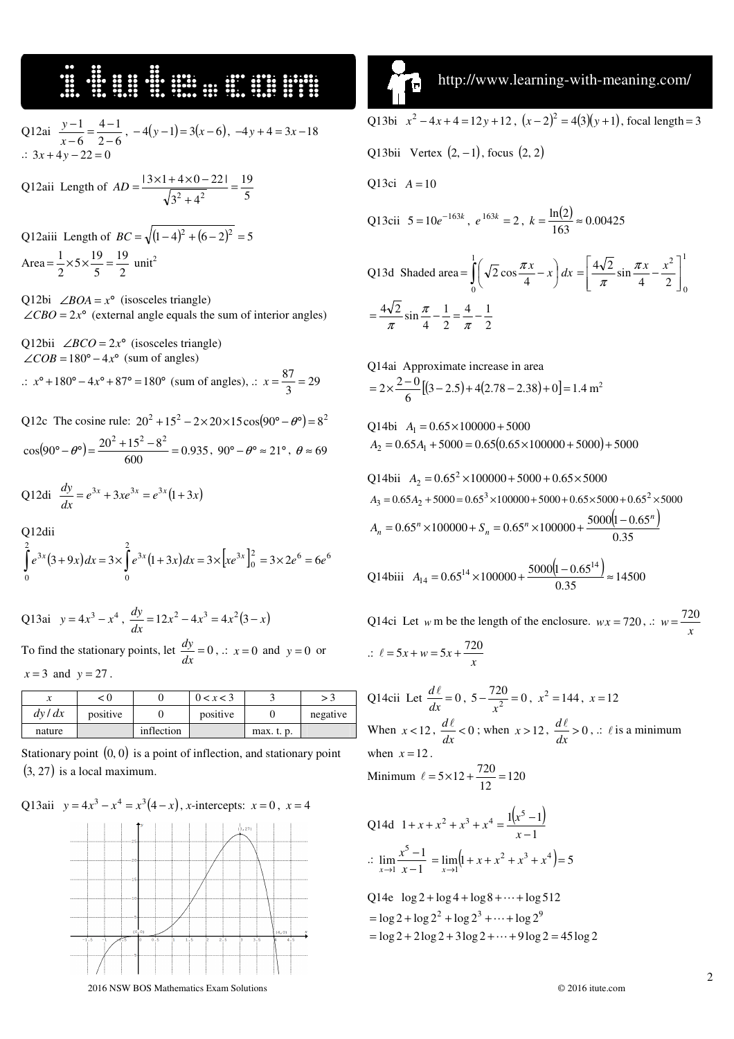### 16. September 18. September 18. September 18. September 18. September 18. September 18. September 18. Septembe

Q12ai  $\frac{y-1}{x-6} = \frac{1}{2-6}$  $4 - 1$ 6 1 −  $\frac{-1}{-6} = \frac{4}{2-}$ − *x*  $\frac{y-1}{z} = \frac{4-1}{2}$ ,  $-4(y-1) = 3(x-6)$ ,  $-4y+4 = 3x-18$ .:  $3x + 4y - 22 =$ 

Q12aii Length of  $AD = \frac{3(3)(1 + 1)(8)}{\sqrt{3^2 + 4^2}} = \frac{12}{5}$ 19  $3^2 + 4$  $|3 \times 1 + 4 \times 0 - 22|$  $\frac{22}{2+12}$  = +  $AD = \frac{13 \times 1 + 4 \times 0 -}{\sqrt{110}}$ 

Q12aiii Length of  $BC = \sqrt{ (1-4)^2 + (6-2)^2} = 5$ Area =  $\frac{1}{2} \times 5 \times \frac{1}{5} = \frac{1}{2}$ 19  $rac{1}{2} \times 5 \times \frac{19}{5}$  $=\frac{1}{2} \times 5 \times \frac{19}{5} = \frac{19}{2}$  unit<sup>2</sup>

Q12bi  $\angle BOA = x^{\circ}$  (isosceles triangle)  $\angle$ *CBO* = 2*x*° (external angle equals the sum of interior angles)

Q12bii  $\angle BCO = 2x^{\circ}$  (isosceles triangle)  $\angle COB = 180^\circ - 4x^\circ$  (sum of angles)

.:  $x^{\circ}$  + 180° − 4 $x^{\circ}$  + 87° = 180° (sum of angles), .:  $x = \frac{0.7}{3} = 29$  $x = \frac{87}{3}$ 

Q12c The cosine rule:  $20^2 + 15^2 - 2 \times 20 \times 15 \cos(90^\circ - \theta^\circ) = 8^2$  $(90^{\circ} - \theta^{\circ}) = \frac{20^{\circ} + 15^{\circ} - 8^{\circ}}{600} = 0.935$  $\cos(90^\circ - \theta^\circ) = \frac{20^2 + 15^2 - 8}{600}$  $\sigma^{\circ} - \theta^{\circ}$  =  $\frac{20^2 + 15^2 - 8^2}{600}$  = 0.935, 90°  $-\theta^{\circ} \approx 21^{\circ}$ ,  $\theta \approx 69$ 

Q12di 
$$
\frac{dy}{dx} = e^{3x} + 3xe^{3x} = e^{3x}(1+3x)
$$

Q12dii

$$
\int_{0}^{2} e^{3x} (3+9x) dx = 3 \times \int_{0}^{2} e^{3x} (1+3x) dx = 3 \times \left[ xe^{3x} \right]_{0}^{2} = 3 \times 2e^{6} = 6e^{6}
$$

Q13ai 
$$
y = 4x^3 - x^4
$$
,  $\frac{dy}{dx} = 12x^2 - 4x^3 = 4x^2(3 - x)$   
To find the stationary points, let  $\frac{dy}{dx} = 0$ ,  $\therefore x = 0$  and  $y = 0$  or  $x = 3$  and  $y = 27$ .

|        | < ()     |            | 0 < x < 3 |            |          |
|--------|----------|------------|-----------|------------|----------|
| dy/dx  | positive |            | positive  |            | negative |
| nature |          | inflection |           | max. t. p. |          |

Stationary point  $(0,0)$  is a point of inflection, and stationary point  $(3, 27)$  is a local maximum.

#### Q13aii  $y = 4x^3 - x^4 = x^3(4-x)$ , *x*-intercepts:  $x = 0$ ,  $x = 4$



 http://www.learning-with-meaning.com/  $\blacksquare$ Q13bi  $x^2 - 4x + 4 = 12y + 12$ ,  $(x-2)^2 = 4(3)(y+1)$ , focal length = 3

Q13bii Vertex  $(2, -1)$ , focus  $(2, 2)$ 

$$
Q13ci \tA=10
$$

֠

Q13cii 
$$
5 = 10e^{-163k}
$$
,  $e^{163k} = 2$ ,  $k = \frac{\ln(2)}{163} \approx 0.00425$ 

Q13d Shaded area 
$$
=\int_{0}^{1} \left(\sqrt{2} \cos \frac{\pi x}{4} - x\right) dx = \left[\frac{4\sqrt{2}}{\pi} \sin \frac{\pi x}{4} - \frac{x^2}{2}\right]_{0}^{1}
$$
  
 $= \frac{4\sqrt{2}}{\pi} \sin \frac{\pi}{4} - \frac{1}{2} = \frac{4}{\pi} - \frac{1}{2}$ 

Q14ai Approximate increase in area  
= 
$$
2 \times \frac{2-0}{6} [(3-2.5) + 4(2.78 - 2.38) + 0] = 1.4 \text{ m}^2
$$

Q14bi  $A_1 = 0.65 \times 100000 + 5000$  $A_2 = 0.65A_1 + 5000 = 0.65(0.65 \times 100000 + 5000) + 5000$ 

Q14bii 
$$
A_2 = 0.65^2 \times 100000 + 5000 + 0.65 \times 5000
$$
  
\n $A_3 = 0.65A_2 + 5000 = 0.65^3 \times 100000 + 5000 + 0.65 \times 5000 + 0.65^2 \times 5000$   
\n $A_n = 0.65^n \times 100000 + S_n = 0.65^n \times 100000 + \frac{5000(1 - 0.65^n)}{0.35}$ 

Q14biii 
$$
A_{14} = 0.65^{14} \times 100000 + \frac{5000(1 - 0.65^{14})}{0.35} \approx 14500
$$

Q14ci Let *w* m be the length of the enclosure.  $wx = 720$ , .:  $w = \frac{720}{x}$  $\therefore$   $\ell = 5x + w = 5x + \frac{720}{x}$ 

Q14cii Let  $\frac{du}{dx} = 0$  $\frac{d\ell}{dx} = 0$ ,  $5 - \frac{720}{x^2} = 0$ *x*  $x^2 = 144$ ,  $x = 12$ When  $x < 12$ ,  $\frac{a}{dx} < 0$  $\frac{d\ell}{dx}$  < 0; when *x* > 12,  $\frac{d\ell}{dx}$  > 0  $\frac{d\ell}{dt} > 0$ , .:  $\ell$  is a minimum when  $x = 12$ . Minimum  $\ell = 5 \times 12 + \frac{720}{12} = 120$ 

Q14d 
$$
1 + x + x^2 + x^3 + x^4 = \frac{1(x^5 - 1)}{x - 1}
$$
  
\n
$$
\therefore \lim_{x \to 1} \frac{x^5 - 1}{x - 1} = \lim_{x \to 1} (1 + x + x^2 + x^3 + x^4) = 5
$$
\nQ14e  $\log 2 + \log 4 + \log 8 + \dots + \log 512$   
\n
$$
= \log 2 + \log 2^2 + \log 2^3 + \dots + \log 2^9
$$

 $=$  log 2 + 2 log 2 + 3 log 2 +  $\cdots$  + 9 log 2 = 45 log 2

2016 NSW BOS Mathematics Exam Solutions © 2016 itute.com